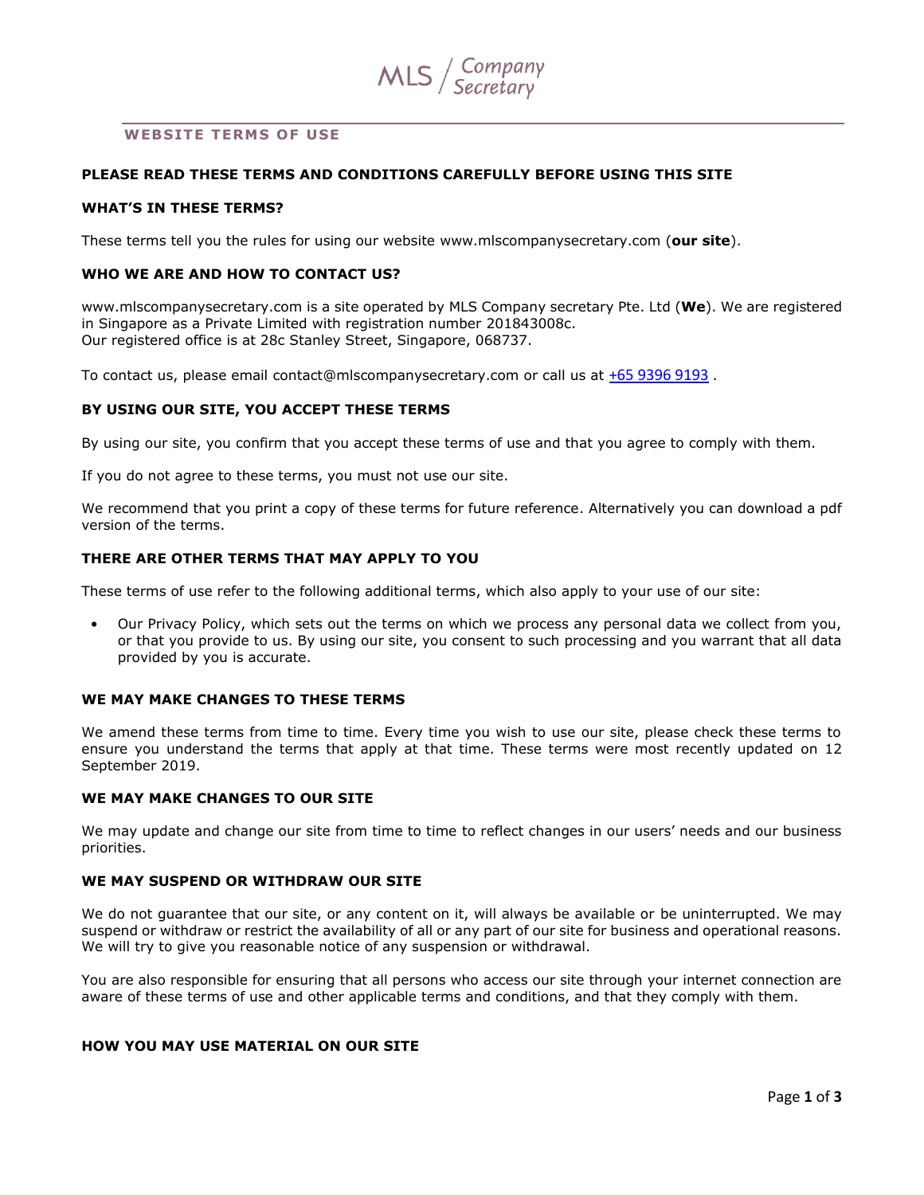

## **WEBSITE TERMS OF USE**

## **PLEASE READ THESE TERMS AND CONDITIONS CAREFULLY BEFORE USING THIS SITE**

## **WHAT'S IN THESE TERMS?**

These terms tell you the rules for using our website www.mlscompanysecretary.com (**our site**).

## **WHO WE ARE AND HOW TO CONTACT US?**

www.mlscompanysecretary.com is a site operated by MLS Company secretary Pte. Ltd (**We**). We are registered in Singapore as a Private Limited with registration number 201843008c. Our registered office is at 28c Stanley Street, Singapore, 068737.

To contact us, please email contact@mlscompanysecretary.com or call us at [+65 9396 9193](tel:+65%209396%209193) .

### **BY USING OUR SITE, YOU ACCEPT THESE TERMS**

By using our site, you confirm that you accept these terms of use and that you agree to comply with them.

If you do not agree to these terms, you must not use our site.

We recommend that you print a copy of these terms for future reference. Alternatively you can download a pdf version of the terms.

## **THERE ARE OTHER TERMS THAT MAY APPLY TO YOU**

These terms of use refer to the following additional terms, which also apply to your use of our site:

• Our Privacy Policy, which sets out the terms on which we process any personal data we collect from you, or that you provide to us. By using our site, you consent to such processing and you warrant that all data provided by you is accurate.

## **WE MAY MAKE CHANGES TO THESE TERMS**

We amend these terms from time to time. Every time you wish to use our site, please check these terms to ensure you understand the terms that apply at that time. These terms were most recently updated on 12 September 2019.

### **WE MAY MAKE CHANGES TO OUR SITE**

We may update and change our site from time to time to reflect changes in our users' needs and our business priorities.

## **WE MAY SUSPEND OR WITHDRAW OUR SITE**

We do not guarantee that our site, or any content on it, will always be available or be uninterrupted. We may suspend or withdraw or restrict the availability of all or any part of our site for business and operational reasons. We will try to give you reasonable notice of any suspension or withdrawal.

You are also responsible for ensuring that all persons who access our site through your internet connection are aware of these terms of use and other applicable terms and conditions, and that they comply with them.

# **HOW YOU MAY USE MATERIAL ON OUR SITE**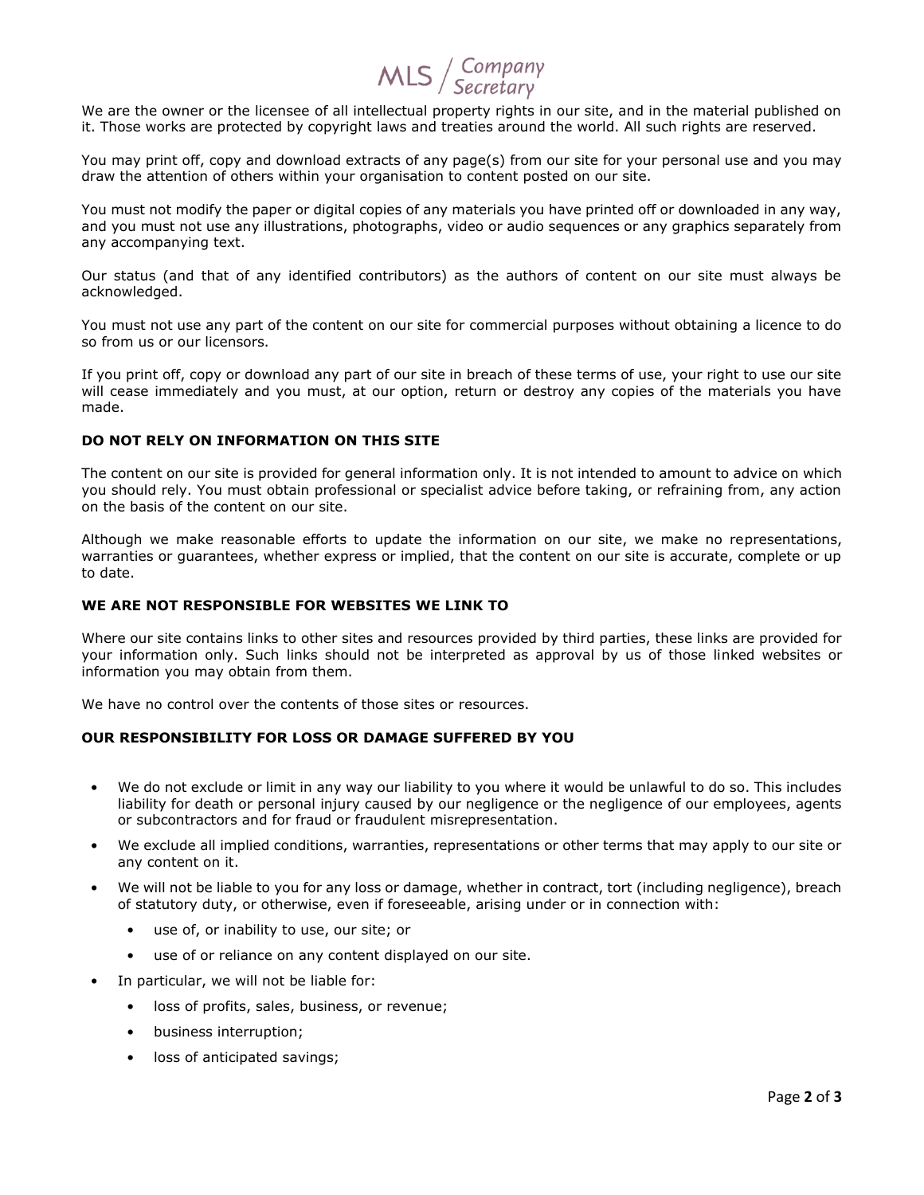# $MLS /$  Company

We are the owner or the licensee of all intellectual property rights in our site, and in the material published on it. Those works are protected by copyright laws and treaties around the world. All such rights are reserved.

You may print off, copy and download extracts of any page(s) from our site for your personal use and you may draw the attention of others within your organisation to content posted on our site.

You must not modify the paper or digital copies of any materials you have printed off or downloaded in any way, and you must not use any illustrations, photographs, video or audio sequences or any graphics separately from any accompanying text.

Our status (and that of any identified contributors) as the authors of content on our site must always be acknowledged.

You must not use any part of the content on our site for commercial purposes without obtaining a licence to do so from us or our licensors.

If you print off, copy or download any part of our site in breach of these terms of use, your right to use our site will cease immediately and you must, at our option, return or destroy any copies of the materials you have made.

## **DO NOT RELY ON INFORMATION ON THIS SITE**

The content on our site is provided for general information only. It is not intended to amount to advice on which you should rely. You must obtain professional or specialist advice before taking, or refraining from, any action on the basis of the content on our site.

Although we make reasonable efforts to update the information on our site, we make no representations, warranties or guarantees, whether express or implied, that the content on our site is accurate, complete or up to date.

## **WE ARE NOT RESPONSIBLE FOR WEBSITES WE LINK TO**

Where our site contains links to other sites and resources provided by third parties, these links are provided for your information only. Such links should not be interpreted as approval by us of those linked websites or information you may obtain from them.

We have no control over the contents of those sites or resources.

## **OUR RESPONSIBILITY FOR LOSS OR DAMAGE SUFFERED BY YOU**

- We do not exclude or limit in any way our liability to you where it would be unlawful to do so. This includes liability for death or personal injury caused by our negligence or the negligence of our employees, agents or subcontractors and for fraud or fraudulent misrepresentation.
- We exclude all implied conditions, warranties, representations or other terms that may apply to our site or any content on it.
- We will not be liable to you for any loss or damage, whether in contract, tort (including negligence), breach of statutory duty, or otherwise, even if foreseeable, arising under or in connection with:
	- use of, or inability to use, our site; or
	- use of or reliance on any content displayed on our site.
- In particular, we will not be liable for:
	- loss of profits, sales, business, or revenue;
	- business interruption;
	- loss of anticipated savings;